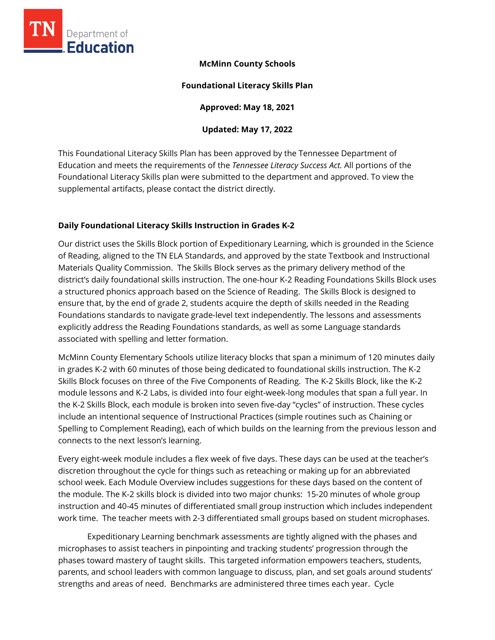

# **McMinn County Schools**

#### **Foundational Literacy Skills Plan**

**Approved: May 18, 2021** 

## **Updated: May 17, 2022**

This Foundational Literacy Skills Plan has been approved by the Tennessee Department of Education and meets the requirements of the *Tennessee Literacy Success Act.* All portions of the Foundational Literacy Skills plan were submitted to the department and approved. To view the supplemental artifacts, please contact the district directly.

# **Daily Foundational Literacy Skills Instruction in Grades K-2**

Our district uses the Skills Block portion of Expeditionary Learning, which is grounded in the Science of Reading, aligned to the TN ELA Standards, and approved by the state Textbook and Instructional Materials Quality Commission. The Skills Block serves as the primary delivery method of the district's daily foundational skills instruction. The one-hour K-2 Reading Foundations Skills Block uses a structured phonics approach based on the Science of Reading. The Skills Block is designed to ensure that, by the end of grade 2, students acquire the depth of skills needed in the Reading Foundations standards to navigate grade-level text independently. The lessons and assessments explicitly address the Reading Foundations standards, as well as some Language standards associated with spelling and letter formation.

McMinn County Elementary Schools utilize literacy blocks that span a minimum of 120 minutes daily in grades K-2 with 60 minutes of those being dedicated to foundational skills instruction. The K-2 Skills Block focuses on three of the Five Components of Reading. The K-2 Skills Block, like the K-2 module lessons and K-2 Labs, is divided into four eight-week-long modules that span a full year. In the K-2 Skills Block, each module is broken into seven five-day "cycles" of instruction. These cycles include an intentional sequence of Instructional Practices (simple routines such as Chaining or Spelling to Complement Reading), each of which builds on the learning from the previous lesson and connects to the next lesson's learning.

Every eight-week module includes a flex week of five days. These days can be used at the teacher's discretion throughout the cycle for things such as reteaching or making up for an abbreviated school week. Each Module Overview includes suggestions for these days based on the content of the module. The K-2 skills block is divided into two major chunks: 15-20 minutes of whole group instruction and 40-45 minutes of differentiated small group instruction which includes independent work time. The teacher meets with 2-3 differentiated small groups based on student microphases.

Expeditionary Learning benchmark assessments are tightly aligned with the phases and microphases to assist teachers in pinpointing and tracking students' progression through the phases toward mastery of taught skills. This targeted information empowers teachers, students, parents, and school leaders with common language to discuss, plan, and set goals around students' strengths and areas of need. Benchmarks are administered three times each year. Cycle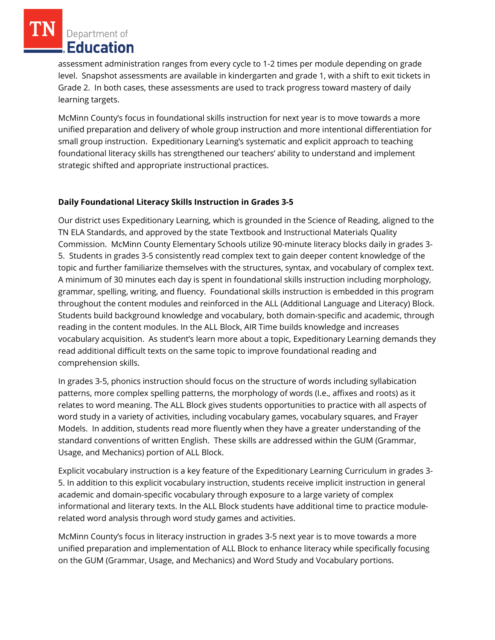Department of Education

assessment administration ranges from every cycle to 1-2 times per module depending on grade level. Snapshot assessments are available in kindergarten and grade 1, with a shift to exit tickets in Grade 2. In both cases, these assessments are used to track progress toward mastery of daily learning targets.

McMinn County's focus in foundational skills instruction for next year is to move towards a more unified preparation and delivery of whole group instruction and more intentional differentiation for small group instruction. Expeditionary Learning's systematic and explicit approach to teaching foundational literacy skills has strengthened our teachers' ability to understand and implement strategic shifted and appropriate instructional practices.

# **Daily Foundational Literacy Skills Instruction in Grades 3-5**

Our district uses Expeditionary Learning, which is grounded in the Science of Reading, aligned to the TN ELA Standards, and approved by the state Textbook and Instructional Materials Quality Commission. McMinn County Elementary Schools utilize 90-minute literacy blocks daily in grades 3- 5. Students in grades 3-5 consistently read complex text to gain deeper content knowledge of the topic and further familiarize themselves with the structures, syntax, and vocabulary of complex text. A minimum of 30 minutes each day is spent in foundational skills instruction including morphology, grammar, spelling, writing, and fluency. Foundational skills instruction is embedded in this program throughout the content modules and reinforced in the ALL (Additional Language and Literacy) Block. Students build background knowledge and vocabulary, both domain-specific and academic, through reading in the content modules. In the ALL Block, AIR Time builds knowledge and increases vocabulary acquisition. As student's learn more about a topic, Expeditionary Learning demands they read additional difficult texts on the same topic to improve foundational reading and comprehension skills.

In grades 3-5, phonics instruction should focus on the structure of words including syllabication patterns, more complex spelling patterns, the morphology of words (I.e., affixes and roots) as it relates to word meaning. The ALL Block gives students opportunities to practice with all aspects of word study in a variety of activities, including vocabulary games, vocabulary squares, and Frayer Models. In addition, students read more fluently when they have a greater understanding of the standard conventions of written English. These skills are addressed within the GUM (Grammar, Usage, and Mechanics) portion of ALL Block.

Explicit vocabulary instruction is a key feature of the Expeditionary Learning Curriculum in grades 3- 5. In addition to this explicit vocabulary instruction, students receive implicit instruction in general academic and domain-specific vocabulary through exposure to a large variety of complex informational and literary texts. In the ALL Block students have additional time to practice modulerelated word analysis through word study games and activities.

McMinn County's focus in literacy instruction in grades 3-5 next year is to move towards a more unified preparation and implementation of ALL Block to enhance literacy while specifically focusing on the GUM (Grammar, Usage, and Mechanics) and Word Study and Vocabulary portions.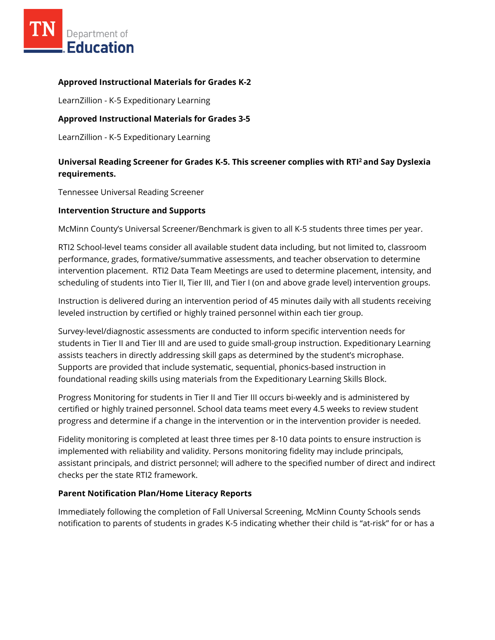

## **Approved Instructional Materials for Grades K-2**

LearnZillion - K-5 Expeditionary Learning

## **Approved Instructional Materials for Grades 3-5**

LearnZillion - K-5 Expeditionary Learning

# **Universal Reading Screener for Grades K-5. This screener complies with RTI<sup>2</sup>and Say Dyslexia requirements.**

Tennessee Universal Reading Screener

#### **Intervention Structure and Supports**

McMinn County's Universal Screener/Benchmark is given to all K-5 students three times per year.

RTI2 School-level teams consider all available student data including, but not limited to, classroom performance, grades, formative/summative assessments, and teacher observation to determine intervention placement. RTI2 Data Team Meetings are used to determine placement, intensity, and scheduling of students into Tier II, Tier III, and Tier I (on and above grade level) intervention groups.

Instruction is delivered during an intervention period of 45 minutes daily with all students receiving leveled instruction by certified or highly trained personnel within each tier group.

Survey-level/diagnostic assessments are conducted to inform specific intervention needs for students in Tier II and Tier III and are used to guide small-group instruction. Expeditionary Learning assists teachers in directly addressing skill gaps as determined by the student's microphase. Supports are provided that include systematic, sequential, phonics-based instruction in foundational reading skills using materials from the Expeditionary Learning Skills Block.

Progress Monitoring for students in Tier II and Tier III occurs bi-weekly and is administered by certified or highly trained personnel. School data teams meet every 4.5 weeks to review student progress and determine if a change in the intervention or in the intervention provider is needed.

Fidelity monitoring is completed at least three times per 8-10 data points to ensure instruction is implemented with reliability and validity. Persons monitoring fidelity may include principals, assistant principals, and district personnel; will adhere to the specified number of direct and indirect checks per the state RTI2 framework.

#### **Parent Notification Plan/Home Literacy Reports**

Immediately following the completion of Fall Universal Screening, McMinn County Schools sends notification to parents of students in grades K-5 indicating whether their child is "at-risk" for or has a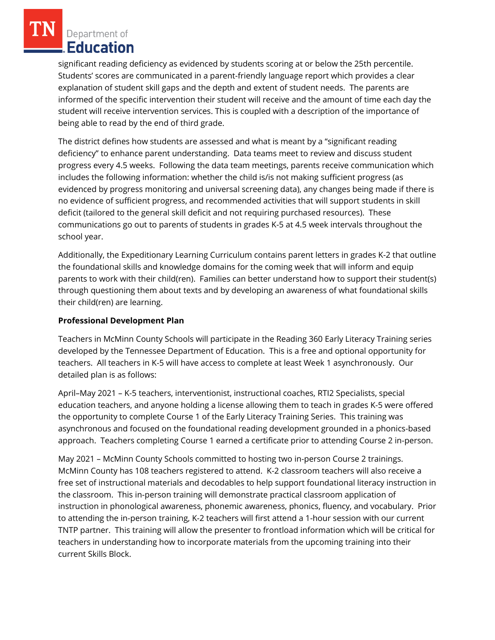Department of Education

significant reading deficiency as evidenced by students scoring at or below the 25th percentile. Students' scores are communicated in a parent-friendly language report which provides a clear explanation of student skill gaps and the depth and extent of student needs. The parents are informed of the specific intervention their student will receive and the amount of time each day the student will receive intervention services. This is coupled with a description of the importance of being able to read by the end of third grade.

The district defines how students are assessed and what is meant by a "significant reading deficiency" to enhance parent understanding. Data teams meet to review and discuss student progress every 4.5 weeks. Following the data team meetings, parents receive communication which includes the following information: whether the child is/is not making sufficient progress (as evidenced by progress monitoring and universal screening data), any changes being made if there is no evidence of sufficient progress, and recommended activities that will support students in skill deficit (tailored to the general skill deficit and not requiring purchased resources). These communications go out to parents of students in grades K-5 at 4.5 week intervals throughout the school year.

Additionally, the Expeditionary Learning Curriculum contains parent letters in grades K-2 that outline the foundational skills and knowledge domains for the coming week that will inform and equip parents to work with their child(ren). Families can better understand how to support their student(s) through questioning them about texts and by developing an awareness of what foundational skills their child(ren) are learning.

#### **Professional Development Plan**

Teachers in McMinn County Schools will participate in the Reading 360 Early Literacy Training series developed by the Tennessee Department of Education. This is a free and optional opportunity for teachers. All teachers in K-5 will have access to complete at least Week 1 asynchronously. Our detailed plan is as follows:

April–May 2021 – K-5 teachers, interventionist, instructional coaches, RTI2 Specialists, special education teachers, and anyone holding a license allowing them to teach in grades K-5 were offered the opportunity to complete Course 1 of the Early Literacy Training Series. This training was asynchronous and focused on the foundational reading development grounded in a phonics-based approach. Teachers completing Course 1 earned a certificate prior to attending Course 2 in-person.

May 2021 – McMinn County Schools committed to hosting two in-person Course 2 trainings. McMinn County has 108 teachers registered to attend. K-2 classroom teachers will also receive a free set of instructional materials and decodables to help support foundational literacy instruction in the classroom. This in-person training will demonstrate practical classroom application of instruction in phonological awareness, phonemic awareness, phonics, fluency, and vocabulary. Prior to attending the in-person training, K-2 teachers will first attend a 1-hour session with our current TNTP partner. This training will allow the presenter to frontload information which will be critical for teachers in understanding how to incorporate materials from the upcoming training into their current Skills Block.